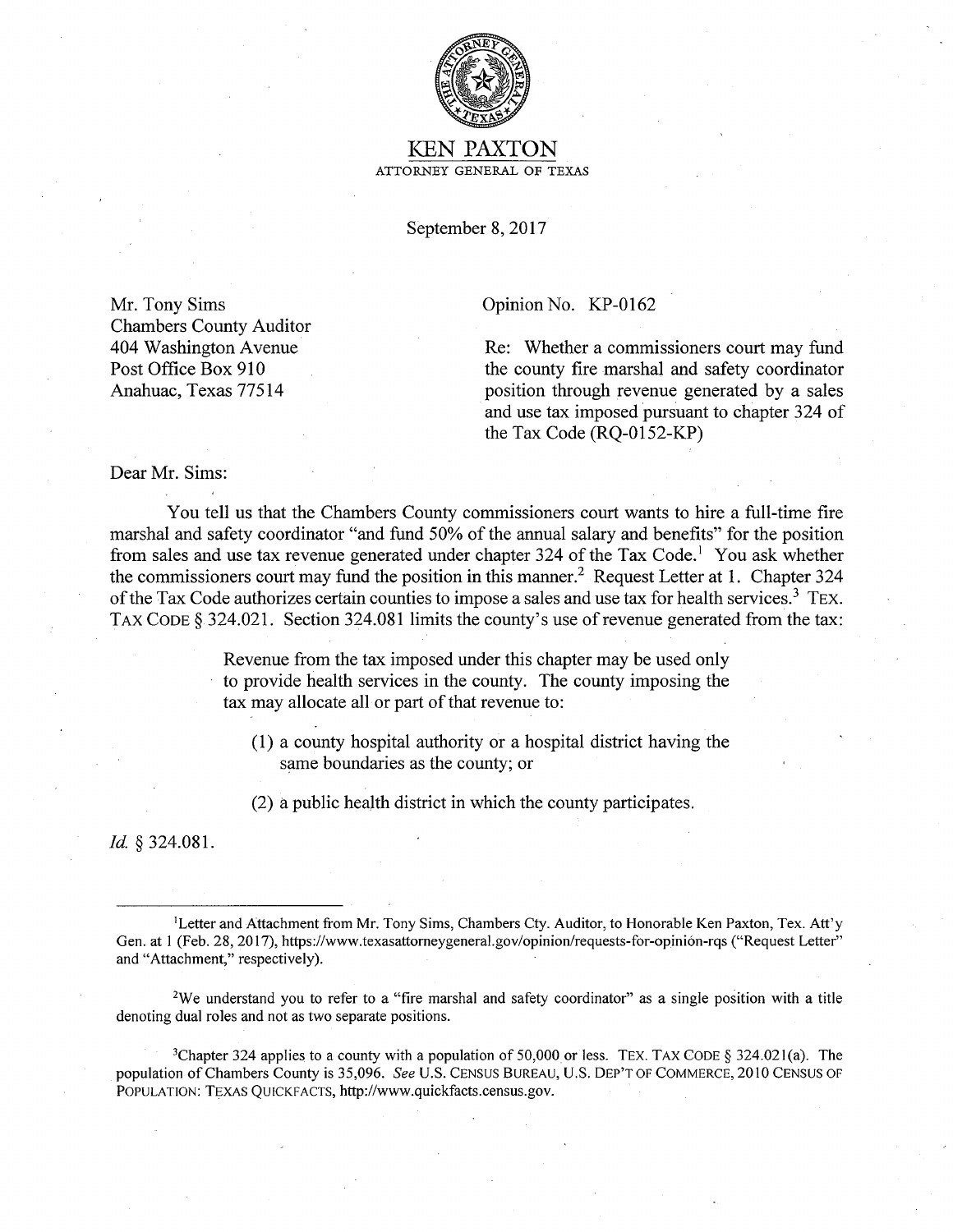

## KEN PAXTON ATTORNEY GENERAL OF TEXAS

September 8, 2017

Mr. Tony Sims Chambers County Auditor 404 Washington Avenue Post Office Box 910 Anahuac, Texas 77514

Opinion No. KP-0162

Re: Whether a commissioners court may fund the county fire marshal and safety coordinator position through revenue generated by a sales and use tax imposed pursuant to chapter 324 of the Tax Code (RQ-0152-KP)

Dear Mr. Sims:

You tell us that the Chambers County commissioners court wants to hire a full-time fire marshal and safety coordinator "and fund 50% of the annual salary and benefits" for the position from sales and use tax revenue generated under chapter 324 of the Tax Code.<sup>1</sup> You ask whether the commissioners court may fund the position in this manner.<sup>2</sup> Request Letter at 1. Chapter 324 of the Tax Code authorizes certain counties to impose a sales and use tax for health services.<sup>3</sup> TEX. TAX CODE § 324.021. Section 324.081 limits the county's use of revenue generated from the tax:

> Revenue from the tax imposed under this chapter may be used only to provide health services in the county. The county imposing the tax may allocate all or part of that revenue to:

(1) a county hospital authority or a hospital district having the same boundaries as the county; or

(2) a public health district in which the county participates.

*Id* § 324.081.

1 Letter and Attachment from Mr. Tony Sims, Chambers Cty. Auditor, to Honorable Ken Paxton, Tex. Att'y Gen. at 1 (Feb. 28, 2017), https://www.texasattorneygeneral.gov/opinion/requests-for-opinión-rqs ("Request Letter" and "Attachment," respectively).

2We understand you to refer to a "fire marshal and safety coordinator" as a single position with a title denoting dual roles and not as two separate positions.

<sup>3</sup>Chapter 324 applies to a county with a population of 50,000 or less. TEX. TAX CODE § 324.021(a). The population of Chambers County is 35,096. *See U.S. CENSUS BUREAU, U.S. DEP'T OF COMMERCE*, 2010 CENSUS OF POPULATION: TEXAS QUICKFACTS, http://www.quickfacts.census.gov.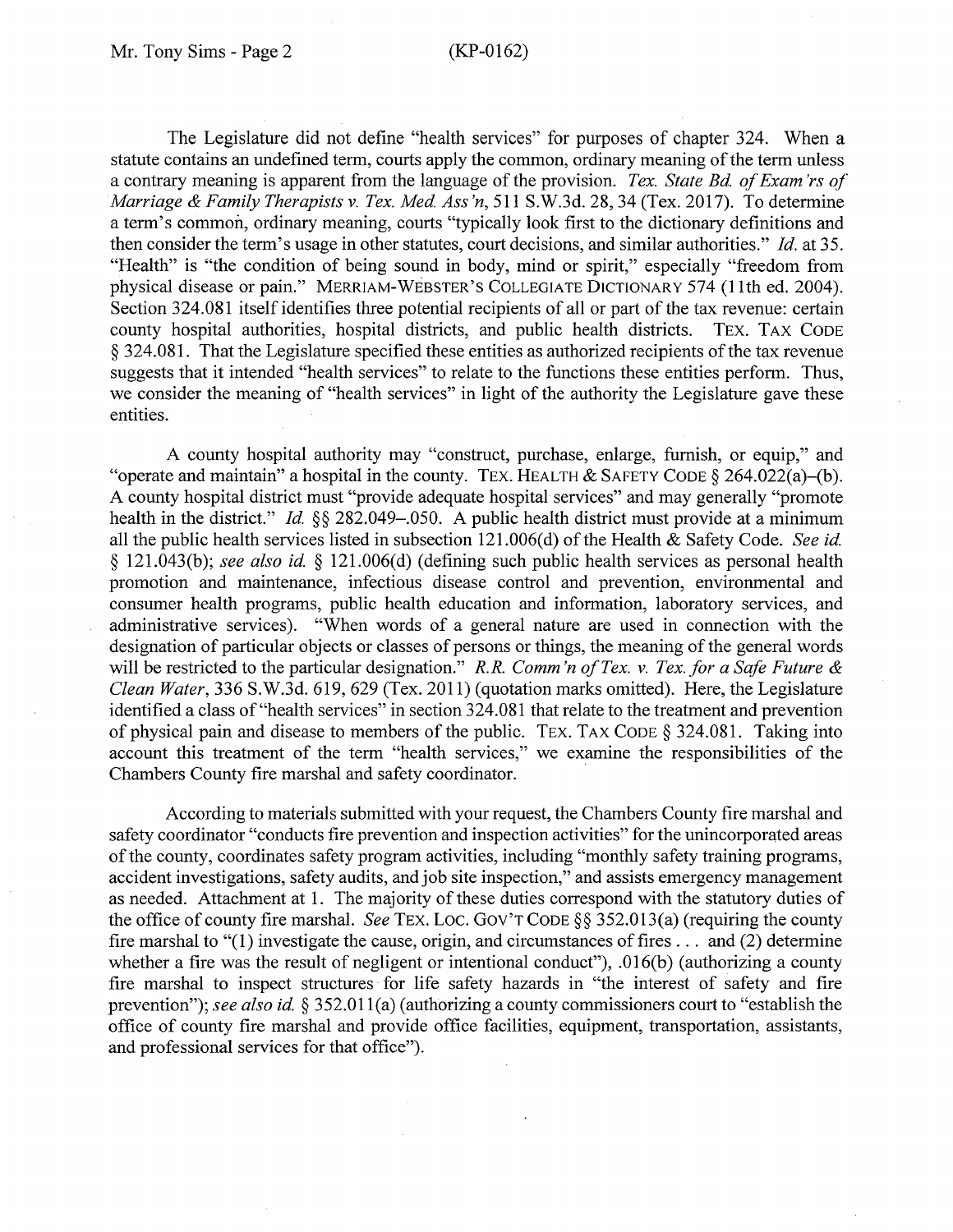The Legislature did not define "health services" for purposes of chapter 324. When a statute contains an undefined term, courts apply the common, ordinary meaning of the term unless a contrary meaning is apparent from the language of the provision. *Tex. State Bd. of Exam 'rs of Marriage* & *Family Therapists v. Tex. Med Ass 'n,* 511 S.W.3d. 28, 34 (Tex. 2017). To determine a term's common, ordinary meaning, courts "typically look first to the dictionary definitions and then consider the term's usage in other statutes, court decisions, and similar authorities." *Id.* at 35. "Health" is "the condition of being sound in body, mind or spirit," especially "freedom from physical disease or pain." MERRIAM-WEBSTER'S COLLEGIATE DICTIONARY 574 (11th ed. 2004). Section 324.081 itself identifies three potential recipients of all or part of the tax revenue: certain county hospital authorities, hospital districts, and public health districts. TEX. TAX CODE § 324.081. That the Legislature specified these entities as authorized recipients of the tax revenue suggests that it intended "health services" to relate to the functions these entities perform. Thus, we consider the meaning of "health services" in light of the authority the Legislature gave these entities.

A county hospital authority may "construct, purchase, enlarge, furnish, or equip," and "operate and maintain" a hospital in the county. TEX. HEALTH & SAFETY CODE  $\S 264.022(a)$ -(b). A county hospital district must "provide adequate hospital services" and may generally "promote health in the district." *Id.* §§ 282.049–.050. A public health district must provide at a minimum all the public health services listed in subsection 121.006(d) of the Health & Safety Code. *See id*  § 121.043(b); *see also id* § 121.006(d) (defining such public health services as personal health promotion and maintenance, infectious disease control and prevention, environmental and consumer health programs, public health education and information, laboratory services, and administrative services). "When words of a general nature are used in connection with the designation of particular objects or classes of persons or things, the meaning of the general words will be restricted to the particular designation." *R.R. Comm 'n of Tex. v. Tex. for a Safe Future* & *Clean Water,* 336 S.W.3d. 619, 629 (Tex. 2011) (quotation marks omitted). Here, the Legislature identified a class of"health services" in section 324.081 that relate to the treatment and prevention of physical pain and disease to members of the public. TEX. TAX CODE § 324.081. Taking into account this treatment of the term "health services," we examine the responsibilities of the Chambers County fire marshal and safety coordinator. ·

According to materials submitted with your request, the Chambers County fire marshal and safety coordinator "conducts fire prevention and inspection activities" for the unincorporated areas of the county, coordinates safety program activities, including "monthly safety training programs, accident investigations, safety audits, and job site inspection," and assists emergency management as needed. Attachment at 1. The majority of these duties correspond with the statutory duties of the office of county fire marshal. *See* TEX. Loe. Gov'T CODE§§ 352.013(a) (requiring the county fire marshal to "(1) investigate the cause, origin, and circumstances of fires . . . and (2) determine whether a fire was the result of negligent or intentional conduct"), .016(b) (authorizing a county fire marshal to inspect structures for life safety hazards in "the interest of safety and fire prevention"); *see also id* § 352.01 l(a) (authorizing a county commissioners court to "establish the office of county fire marshal and provide office facilities, equipment, transportation, assistants, and professional services for that office").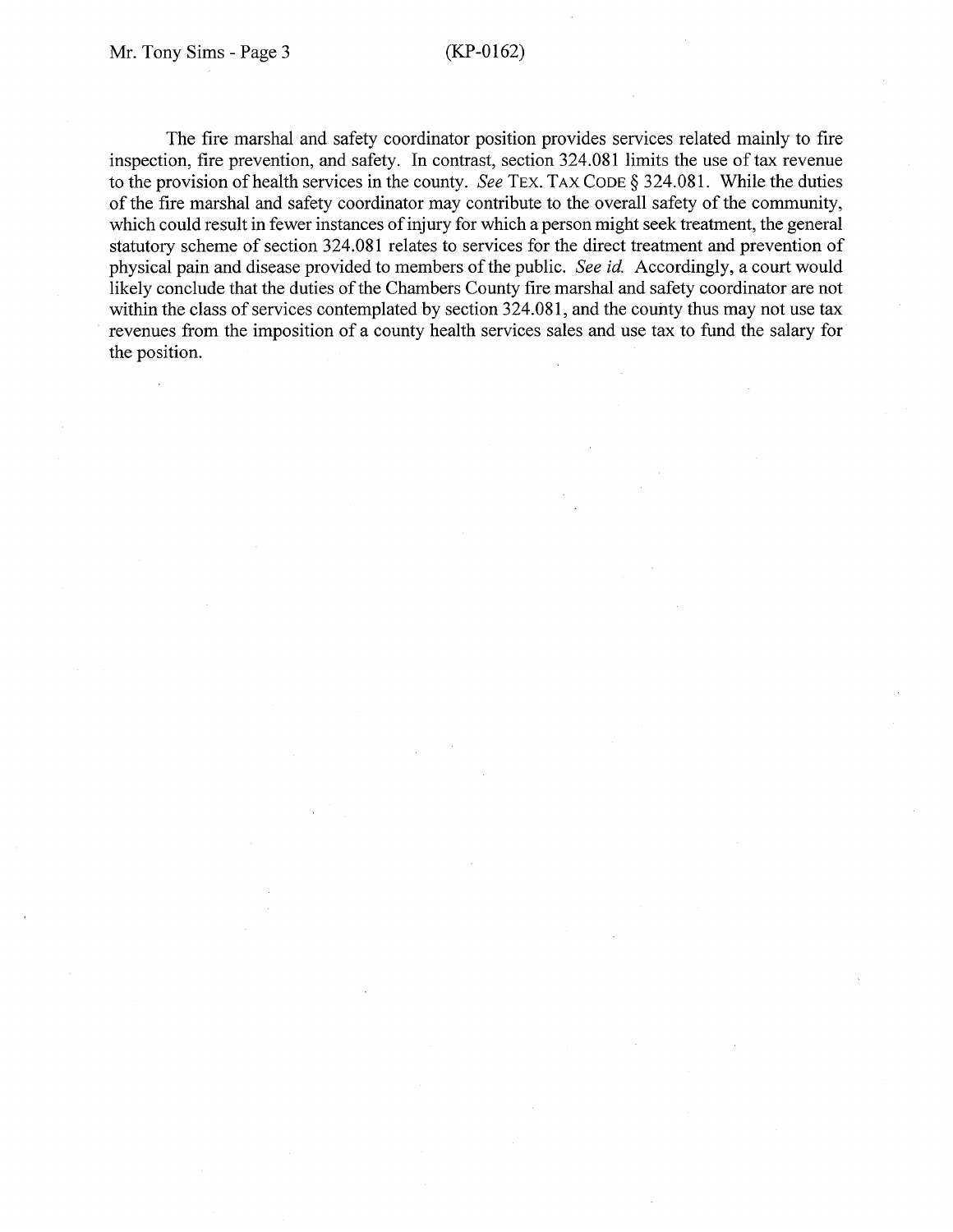The fire marshal and safety coordinator position provides services related mainly to fire inspection, fire prevention, and safety. In contrast, section 324.081 limits the use of tax revenue to the provision of health services in the county. *See* TEX. TAX CODE§ 324.081. While the duties of the fire marshal and safety coordinator may contribute to the overall safety of the community, which could result in fewer instances of injury for which a person might seek treatment, the general statutory scheme of section 324.081 relates to services for the direct treatment and prevention of physical pain and disease provided to members of the public. *See id.* Accordingly, a court would likely conclude that the duties of the Chambers County fire marshal and safety coordinator are not within the class of services contemplated by section 324.081, and the county thus may not use tax revenues from the imposition of a county health services sales and use tax to fund the salary for the position.